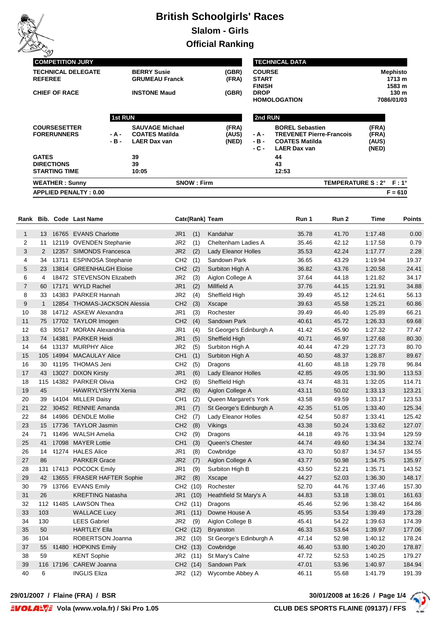

# **British Schoolgirls' Races Slalom - Girls**

**Official Ranking**

| <b>APPLIED PENALTY: 0.00</b> |                |                        |       |                               |                                 |                  | $F = 610$        |
|------------------------------|----------------|------------------------|-------|-------------------------------|---------------------------------|------------------|------------------|
| <b>WEATHER: Sunny</b>        |                | <b>SNOW: Firm</b>      |       |                               | TEMPERATURE S: 2° F: 1°         |                  |                  |
| <b>STARTING TIME</b>         |                | 10:05                  |       |                               | 12:53                           |                  |                  |
| <b>DIRECTIONS</b>            |                | 39                     |       |                               | 43                              |                  |                  |
| <b>GATES</b>                 |                | 39                     |       |                               | 44                              |                  |                  |
|                              |                |                        |       | - C -                         | <b>LAER Dax van</b>             | (NED)            |                  |
|                              | - B -          | <b>LAER Dax van</b>    | (NED) | - B -                         | <b>COATES Matilda</b>           | (AUS)            |                  |
| <b>FORERUNNERS</b>           | - A -          | <b>COATES Matilda</b>  | (AUS) | - A -                         | <b>TREVENET Pierre-Francois</b> | (FRA)            |                  |
| <b>COURSESETTER</b>          |                | <b>SAUVAGE Michael</b> | (FRA) |                               | <b>BOREL Sebastien</b>          | (FRA)            |                  |
|                              | <b>1st RUN</b> |                        |       | 2nd RUN                       |                                 |                  |                  |
|                              |                |                        |       |                               | <b>HOMOLOGATION</b>             |                  | 7086/01/03       |
| <b>CHIEF OF RACE</b>         |                | <b>INSTONE Maud</b>    | (GBR) |                               | <b>DROP</b>                     |                  | 130 <sub>m</sub> |
| <b>REFEREE</b>               |                | <b>GRUMEAU Franck</b>  | (FRA) | <b>START</b><br><b>FINISH</b> |                                 | 1713 m<br>1583 m |                  |
| <b>TECHNICAL DELEGATE</b>    |                | <b>BERRY Susie</b>     | (GBR) | <b>COURSE</b>                 |                                 |                  | <b>Mephisto</b>  |
| <b>COMPETITION JURY</b>      |                |                        |       |                               | <b>TECHNICAL DATA</b>           |                  |                  |
| ے                            |                |                        |       |                               |                                 |                  |                  |

| Rank           |              |       | <b>Bib. Code Last Name</b>    |                 |          | Cate(Rank) Team         | Run 1 | Run 2 | Time    | <b>Points</b> |
|----------------|--------------|-------|-------------------------------|-----------------|----------|-------------------------|-------|-------|---------|---------------|
| $\mathbf{1}$   |              |       | 13 16765 EVANS Charlotte      | JR1             | (1)      | Kandahar                | 35.78 | 41.70 | 1:17.48 | 0.00          |
| $\overline{2}$ | 11           |       | 12119 OVENDEN Stephanie       | JR <sub>2</sub> | (1)      | Cheltenham Ladies A     | 35.46 | 42.12 | 1:17.58 | 0.79          |
| 3              | 2            |       | 12357 SIMONDS Francesca       | JR <sub>2</sub> | (2)      | Lady Eleanor Holles     | 35.53 | 42.24 | 1:17.77 | 2.28          |
| 4              | 34           |       | 13711 ESPINOSA Stephanie      | CH <sub>2</sub> | (1)      | Sandown Park            | 36.65 | 43.29 | 1:19.94 | 19.37         |
| 5              | 23           |       | 13814 GREENHALGH Eloise       | CH <sub>2</sub> | (2)      | Surbiton High A         | 36.82 | 43.76 | 1:20.58 | 24.41         |
| 6              | 4            |       | 18472 STEVENSON Elizabeth     | JR2             | (3)      | Aiglon College A        | 37.64 | 44.18 | 1:21.82 | 34.17         |
| $\overline{7}$ | 60           |       | 17171 WYLD Rachel             | JR <sub>1</sub> | (2)      | Millfield A             | 37.76 | 44.15 | 1:21.91 | 34.88         |
| 8              | 33           |       | 14383 PARKER Hannah           | JR <sub>2</sub> | (4)      | Sheffield High          | 39.49 | 45.12 | 1:24.61 | 56.13         |
| 9              | $\mathbf{1}$ |       | 12854 THOMAS-JACKSON Alessia  | CH <sub>2</sub> | (3)      | Xscape                  | 39.63 | 45.58 | 1:25.21 | 60.86         |
| 10             | 38           |       | 14712 ASKEW Alexandra         | JR1             | (3)      | Rochester               | 39.49 | 46.40 | 1:25.89 | 66.21         |
| 11             | 75           |       | 17702 TAYLOR Imogen           | CH <sub>2</sub> | (4)      | Sandown Park            | 40.61 | 45.72 | 1:26.33 | 69.68         |
| 12             | 63           |       | 30517 MORAN Alexandria        | JR1             | (4)      | St George's Edinburgh A | 41.42 | 45.90 | 1:27.32 | 77.47         |
| 13             | 74           | 14381 | <b>PARKER Heidi</b>           | JR <sub>1</sub> | (5)      | Sheffield High          | 40.71 | 46.97 | 1:27.68 | 80.30         |
| 14             | 64           |       | 13137 MURPHY Alice            | JR <sub>2</sub> | (5)      | Surbiton High A         | 40.44 | 47.29 | 1:27.73 | 80.70         |
| 15             |              |       | 105 14994 MACAULAY Alice      | CH <sub>1</sub> | (1)      | Surbiton High A         | 40.50 | 48.37 | 1:28.87 | 89.67         |
| 16             | 30           |       | 41195 THOMAS Jeni             | CH <sub>2</sub> | (5)      | Dragons                 | 41.60 | 48.18 | 1:29.78 | 96.84         |
| 17             | 43           |       | 13027 DIXON Kirsty            | JR1             | (6)      | Lady Eleanor Holles     | 42.85 | 49.05 | 1:31.90 | 113.53        |
| 18             | 115          |       | 14382 PARKER Olivia           | CH <sub>2</sub> | (6)      | Sheffield High          | 43.74 | 48.31 | 1:32.05 | 114.71        |
| 19             | 45           |       | HAWRYLYSHYN Xenia             | JR <sub>2</sub> | (6)      | Aiglon College A        | 43.11 | 50.02 | 1:33.13 | 123.21        |
| 20             | 39           |       | 14104 MILLER Daisy            | CH <sub>1</sub> | (2)      | Queen Margaret's York   | 43.58 | 49.59 | 1:33.17 | 123.53        |
| 21             | 22           |       | 30452 RENNIE Amanda           | JR <sub>1</sub> | (7)      | St George's Edinburgh A | 42.35 | 51.05 | 1:33.40 | 125.34        |
| 22             | 84           |       | 14986 DENDLE Mollie           | CH <sub>2</sub> | (7)      | Lady Eleanor Holles     | 42.54 | 50.87 | 1:33.41 | 125.42        |
| 23             | 15           |       | 17736 TAYLOR Jasmin           | CH <sub>2</sub> | (8)      | Vikings                 | 43.38 | 50.24 | 1:33.62 | 127.07        |
| 24             | 71           |       | 41496 WALSH Amelia            | CH <sub>2</sub> | (9)      | Dragons                 | 44.18 | 49.76 | 1:33.94 | 129.59        |
| 25             | 41           |       | 17098 MAYER Lottie            | CH <sub>1</sub> | (3)      | Queen's Chester         | 44.74 | 49.60 | 1:34.34 | 132.74        |
| 26             | 14           |       | 41274 HALES Alice             | JR <sub>1</sub> | (8)      | Cowbridge               | 43.70 | 50.87 | 1:34.57 | 134.55        |
| 27             | 86           |       | <b>PARKER Grace</b>           | JR <sub>2</sub> | (7)      | Aiglon College A        | 43.77 | 50.98 | 1:34.75 | 135.97        |
| 28             |              |       | 131 17413 POCOCK Emily        | JR1             | (9)      | Surbiton High B         | 43.50 | 52.21 | 1:35.71 | 143.52        |
| 29             |              |       | 42 13655 FRASER HAFTER Sophie | JR <sub>2</sub> | (8)      | Xscape                  | 44.27 | 52.03 | 1:36.30 | 148.17        |
| 30             | 79           |       | 13766 EVANS Emily             | CH2 (10)        |          | Rochester               | 52.70 | 44.76 | 1:37.46 | 157.30        |
| 31             | 26           |       | <b>KREFTING Natasha</b>       | JR1             | (10)     | Heathfield St Mary's A  | 44.83 | 53.18 | 1:38.01 | 161.63        |
| 32             |              |       | 112 41485 LAWSON Thea         | CH2 (11)        |          | Dragons                 | 45.46 | 52.96 | 1:38.42 | 164.86        |
| 33             | 103          |       | <b>WALLACE Lucy</b>           | JR1             | (11)     | Downe House A           | 45.95 | 53.54 | 1:39.49 | 173.28        |
| 34             | 130          |       | <b>LEES Gabriel</b>           | JR <sub>2</sub> | (9)      | Aiglon College B        | 45.41 | 54.22 | 1:39.63 | 174.39        |
| 35             | 50           |       | <b>HARTLEY Ella</b>           | CH2 (12)        |          | <b>Bryanston</b>        | 46.33 | 53.64 | 1:39.97 | 177.06        |
| 36             | 104          |       | ROBERTSON Joanna              | JR2             | (10)     | St George's Edinburgh A | 47.14 | 52.98 | 1:40.12 | 178.24        |
| 37             | 55           |       | 41480 HOPKINS Emily           | CH2 (13)        |          | Cowbridge               | 46.40 | 53.80 | 1:40.20 | 178.87        |
| 38             | 59           |       | <b>KENT Sophie</b>            | JR2             | (11)     | St Mary's Calne         | 47.72 | 52.53 | 1:40.25 | 179.27        |
| 39             | 116          |       | 17196 CAREW Joanna            | CH2 (14)        |          | Sandown Park            | 47.01 | 53.96 | 1:40.97 | 184.94        |
| 40             | 6            |       | <b>INGLIS Eliza</b>           |                 | JR2 (12) | Wycombe Abbey A         | 46.11 | 55.68 | 1:41.79 | 191.39        |

**29/01/2007 / Flaine (FRA) / BSR 30/01/2008 at 16:26 / Page 1/4**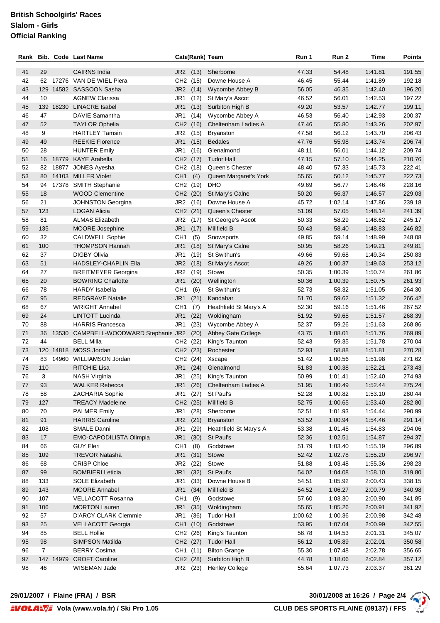## **British Schoolgirls' Races Slalom - Girls Official Ranking**

| Rank |                |       | <b>Bib. Code Last Name</b>            |                 | Cate(Rank) Team |                              | Run 1   | Run 2   | Time    | Points |
|------|----------------|-------|---------------------------------------|-----------------|-----------------|------------------------------|---------|---------|---------|--------|
|      |                |       |                                       |                 |                 |                              |         |         |         |        |
| 41   | 29             |       | <b>CAIRNS India</b>                   | JR2 (13)        |                 | Sherborne                    | 47.33   | 54.48   | 1:41.81 | 191.55 |
| 42   | 62             |       | 17276 VAN DE WIEL Piera               | CH2 (15)        |                 | Downe House A                | 46.45   | 55.44   | 1:41.89 | 192.18 |
| 43   |                |       | 129 14582 SASSOON Sasha               | JR <sub>2</sub> | (14)            | Wycombe Abbey B              | 56.05   | 46.35   | 1:42.40 | 196.20 |
| 44   | 10             |       | <b>AGNEW Clarissa</b>                 | JR1             | (12)            | St Mary's Ascot              | 46.52   | 56.01   | 1:42.53 | 197.22 |
| 45   |                |       | 139 18230 LINACRE Isabel              | JR <sub>1</sub> | (13)            | Surbiton High B              | 49.20   | 53.57   | 1:42.77 | 199.11 |
| 46   | 47             |       | DAVIE Samantha                        | JR1             | (14)            | Wycombe Abbey A              | 46.53   | 56.40   | 1:42.93 | 200.37 |
| 47   | 52             |       | <b>TAYLOR Ophelia</b>                 | CH <sub>2</sub> | (16)            | Cheltenham Ladies A          | 47.46   | 55.80   | 1:43.26 | 202.97 |
| 48   | 9              |       | <b>HARTLEY Tamsin</b>                 | JR <sub>2</sub> | (15)            | <b>Bryanston</b>             | 47.58   | 56.12   | 1:43.70 | 206.43 |
| 49   | 49             |       | <b>REEKIE Florence</b>                | JR <sub>1</sub> | (15)            | <b>Bedales</b>               | 47.76   | 55.98   | 1:43.74 | 206.74 |
| 50   | 28             |       | <b>HUNTER Emily</b>                   | JR <sub>1</sub> | (16)            | Glenalmond                   | 48.11   | 56.01   | 1:44.12 | 209.74 |
| 51   | 16             | 18779 | <b>KAYE Arabella</b>                  | CH2 (17)        |                 | <b>Tudor Hall</b>            | 47.15   | 57.10   | 1:44.25 | 210.76 |
| 52   | 82             | 18877 | JONES Ayesha                          | CH <sub>2</sub> | (18)            | Queen's Chester              | 48.40   | 57.33   | 1:45.73 | 222.41 |
| 53   | 80             |       | 14103 MILLER Violet                   | CH <sub>1</sub> | (4)             | Queen Margaret's York        | 55.65   | 50.12   | 1:45.77 | 222.73 |
| 54   | 94             | 17378 | <b>SMITH Stephanie</b>                | CH <sub>2</sub> | (19)            | <b>DHO</b>                   | 49.69   | 56.77   | 1:46.46 | 228.16 |
| 55   | 18             |       | <b>WOOD Clementine</b>                | CH2 (20)        |                 | St Mary's Calne              | 50.20   | 56.37   | 1:46.57 | 229.03 |
| 56   | 21             |       | <b>JOHNSTON Georgina</b>              | JR <sub>2</sub> | (16)            | Downe House A                | 45.72   | 1:02.14 | 1:47.86 | 239.18 |
| 57   | 123            |       | <b>LOGAN Alicia</b>                   | CH2 (21)        |                 | Queen's Chester              | 51.09   | 57.05   | 1:48.14 | 241.39 |
| 58   | 81             |       | <b>ALMAS Elizabeth</b>                | JR <sub>2</sub> | (17)            | St George's Ascot            | 50.33   | 58.29   | 1:48.62 | 245.17 |
| 59   | 135            |       | MOORE Josephine                       | JR1             | (17)            | Millfield B                  | 50.43   | 58.40   | 1:48.83 | 246.82 |
| 60   | 32             |       | <b>CALDWELL Sophie</b>                | CH <sub>1</sub> | (5)             | Snowsports                   | 49.85   | 59.14   | 1:48.99 | 248.08 |
| 61   | 100            |       | <b>THOMPSON Hannah</b>                | JR <sub>1</sub> | (18)            | St Mary's Calne              | 50.95   | 58.26   | 1:49.21 | 249.81 |
| 62   | 37             |       | <b>DIGBY Olivia</b>                   | JR <sub>1</sub> | (19)            | St Swithun's                 | 49.66   | 59.68   | 1:49.34 | 250.83 |
| 63   | 51             |       | <b>HADSLEY-CHAPLIN Ella</b>           | JR <sub>2</sub> | (18)            | St Mary's Ascot              | 49.26   | 1:00.37 | 1:49.63 | 253.12 |
| 64   | 27             |       | <b>BREITMEYER Georgina</b>            | JR <sub>2</sub> | (19)            | Stowe                        | 50.35   | 1:00.39 | 1:50.74 | 261.86 |
| 65   | 20             |       | <b>BOWRING Charlotte</b>              | JR <sub>1</sub> | (20)            | Wellington                   | 50.36   | 1:00.39 | 1:50.75 | 261.93 |
| 66   | 78             |       | <b>HARDY</b> Isabella                 | CH <sub>1</sub> | (6)             | St Swithun's                 | 52.73   | 58.32   | 1:51.05 | 264.30 |
| 67   | 95             |       | <b>REDGRAVE Natalie</b>               | JR <sub>1</sub> | (21)            | Kandahar                     | 51.70   | 59.62   | 1.51.32 | 266.42 |
| 68   | 67             |       | <b>WRIGHT Annabel</b>                 | CH <sub>1</sub> | (7)             | Heathfield St Mary's A       | 52.30   | 59.16   | 1.51.46 | 267.52 |
| 69   | 24             |       | <b>LINTOTT Lucinda</b>                | JR <sub>1</sub> | (22)            | Woldingham                   | 51.92   | 59.65   | 1:51.57 | 268.39 |
| 70   | 88             |       | <b>HARRIS Francesca</b>               | JR1             | (23)            | Wycombe Abbey A              | 52.37   | 59.26   | 1:51.63 | 268.86 |
| 71   | 36             |       | 13530 CAMPBELL-WOODWARD Stephanie JR2 |                 | (20)            | Abbey Gate College           | 43.75   | 1:08.01 | 1:51.76 | 269.89 |
| 72   | 44             |       | <b>BELL Milla</b>                     | CH2 (22)        |                 | King's Taunton               | 52.43   | 59.35   | 1:51.78 | 270.04 |
| 73   | 120            | 14818 | MOSS Jordan                           | CH2 (23)        |                 | Rochester                    | 52.93   | 58.88   | 1:51.81 | 270.28 |
| 74   | 83             |       | 14960 WILLIAMSON Jordan               | CH <sub>2</sub> | (24)            | Xscape                       | 51.42   | 1:00.56 | 1:51.98 | 271.62 |
| 75   | 110            |       | RITCHIE Lisa                          | JR1             | (24)            | Glenalmond                   | 51.83   | 1:00.38 | 1:52.21 | 273.43 |
| 76   | 3              |       | <b>NASH Virginia</b>                  | JR1             | (25)            | King's Taunton               | 50.99   | 1:01.41 | 1:52.40 | 274.93 |
| 77   | 93             |       | <b>WALKER Rebecca</b>                 |                 |                 | JR1 (26) Cheltenham Ladies A | 51.95   | 1:00.49 | 1:52.44 | 275.24 |
| 78   | 58             |       | ZACHARIA Sophie                       | JR1             | (27)            | St Paul's                    | 52.28   | 1:00.82 | 1:53.10 | 280.44 |
| 79   | 127            |       | <b>TREACY Madeleine</b>               | CH2 (25)        |                 | Millfield B                  | 52.75   | 1:00.65 | 1:53.40 | 282.80 |
| 80   | 70             |       | <b>PALMER Emily</b>                   | JR1             | (28)            | Sherborne                    | 52.51   | 1:01.93 | 1:54.44 | 290.99 |
| 81   | 91             |       | <b>HARRIS Caroline</b>                | JR2 (21)        |                 | <b>Bryanston</b>             | 53.52   | 1:00.94 | 1:54.46 | 291.14 |
| 82   | 108            |       | SMALE Danni                           | JR <sub>1</sub> | (29)            | Heathfield St Mary's A       | 53.38   | 1:01.45 | 1:54.83 | 294.06 |
| 83   | 17             |       | EMO-CAPODILISTA Olimpia               | JR1             | (30)            | St Paul's                    | 52.36   | 1:02.51 | 1:54.87 | 294.37 |
| 84   | 66             |       | <b>GUY Eleri</b>                      | CH <sub>1</sub> | (8)             | Godstowe                     | 51.79   | 1:03.40 | 1:55.19 | 296.89 |
| 85   | 109            |       | <b>TREVOR Natasha</b>                 | JR1             | (31)            | Stowe                        | 52.42   | 1:02.78 | 1:55.20 | 296.97 |
| 86   | 68             |       | <b>CRISP Chloe</b>                    | JR <sub>2</sub> | (22)            | Stowe                        | 51.88   | 1:03.48 | 1:55.36 | 298.23 |
| 87   | 99             |       | <b>BOMBIERI</b> Leticia               | JR1             | (32)            | St Paul's                    | 54.02   | 1:04.08 | 1:58.10 | 319.80 |
| 88   | 133            |       | <b>SOLE Elizabeth</b>                 | JR <sub>1</sub> | (33)            | Downe House B                | 54.51   | 1:05.92 | 2:00.43 | 338.15 |
| 89   | 143            |       | <b>MOORE Annabel</b>                  | JR <sub>1</sub> | (34)            | Millfield B                  | 54.52   | 1:06.27 | 2:00.79 | 340.98 |
| 90   | 107            |       | VELLACOTT Rosanna                     | CH <sub>1</sub> | (9)             | Godstowe                     | 57.60   | 1:03.30 | 2:00.90 | 341.85 |
| 91   | 106            |       | <b>MORTON Lauren</b>                  | JR <sub>1</sub> | (35)            | Woldingham                   | 55.65   | 1:05.26 | 2:00.91 | 341.92 |
| 92   | 57             |       | <b>D'ARCY CLARK Clemmie</b>           | JR <sub>1</sub> | (36)            | <b>Tudor Hall</b>            | 1:00.62 | 1:00.36 | 2:00.98 | 342.48 |
| 93   | 25             |       | VELLACOTT Georgia                     | CH1 (10)        |                 | Godstowe                     | 53.95   | 1:07.04 | 2:00.99 | 342.55 |
| 94   | 85             |       | <b>BELL Hollie</b>                    | CH2 (26)        |                 | King's Taunton               | 56.78   | 1:04.53 | 2:01.31 | 345.07 |
| 95   | 98             |       | SIMPSON Matilda                       | CH2 (27)        |                 | <b>Tudor Hall</b>            | 56.12   | 1:05.89 | 2:02.01 | 350.58 |
| 96   | $\overline{7}$ |       | <b>BERRY Cosima</b>                   | CH1 (11)        |                 | <b>Bilton Grange</b>         | 55.30   | 1:07.48 | 2:02.78 | 356.65 |
| 97   | 147            | 14979 | <b>CROFT Caroline</b>                 | CH2 (28)        |                 | Surbiton High B              | 44.78   | 1:18.06 | 2:02.84 | 357.12 |
| 98   | 46             |       | WISEMAN Jade                          | JR2 (23)        |                 | <b>Henley College</b>        | 55.64   | 1:07.73 | 2:03.37 | 361.29 |



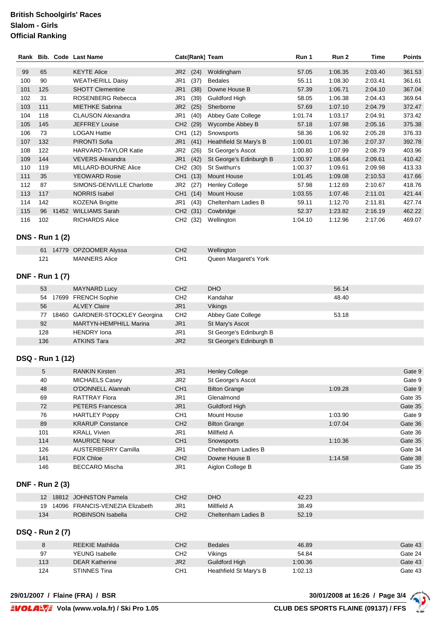## **British Schoolgirls' Races Slalom - Girls Official Ranking**

| Rank |     |       | <b>Bib. Code Last Name</b>  | Cate(Rank) Team         |                         | Run 1   | Run 2   | Time    | <b>Points</b> |
|------|-----|-------|-----------------------------|-------------------------|-------------------------|---------|---------|---------|---------------|
|      |     |       |                             |                         |                         |         |         |         |               |
| 99   | 65  |       | <b>KEYTE Alice</b>          | JR <sub>2</sub><br>(24) | Woldingham              | 57.05   | 1:06.35 | 2:03.40 | 361.53        |
| 100  | 90  |       | <b>WEATHERILL Daisy</b>     | JR1<br>(37)             | <b>Bedales</b>          | 55.11   | 1:08.30 | 2:03.41 | 361.61        |
| 101  | 125 |       | <b>SHOTT Clementine</b>     | JR <sub>1</sub><br>(38) | Downe House B           | 57.39   | 1:06.71 | 2:04.10 | 367.04        |
| 102  | 31  |       | ROSENBERG Rebecca           | JR1<br>(39)             | Guildford High          | 58.05   | 1:06.38 | 2:04.43 | 369.64        |
| 103  | 111 |       | <b>MIETHKE Sabrina</b>      | JR <sub>2</sub><br>(25) | Sherborne               | 57.69   | 1:07.10 | 2:04.79 | 372.47        |
| 104  | 118 |       | <b>CLAUSON Alexandra</b>    | JR1<br>(40)             | Abbey Gate College      | 1:01.74 | 1:03.17 | 2:04.91 | 373.42        |
| 105  | 145 |       | <b>JEFFREY Louise</b>       | CH <sub>2</sub><br>(29) | Wycombe Abbey B         | 57.18   | 1:07.98 | 2:05.16 | 375.38        |
| 106  | 73  |       | <b>LOGAN Hattie</b>         | CH <sub>1</sub><br>(12) | Snowsports              | 58.36   | 1:06.92 | 2:05.28 | 376.33        |
| 107  | 132 |       | PIRONTI Sofia               | JR1<br>(41)             | Heathfield St Mary's B  | 1:00.01 | 1:07.36 | 2:07.37 | 392.78        |
| 108  | 122 |       | <b>HARVARD-TAYLOR Katie</b> | (26)<br>JR <sub>2</sub> | St George's Ascot       | 1:00.80 | 1:07.99 | 2:08.79 | 403.96        |
| 109  | 144 |       | <b>VEVERS Alexandra</b>     | JR <sub>1</sub><br>(42) | St George's Edinburgh B | 1:00.97 | 1:08.64 | 2:09.61 | 410.42        |
| 110  | 119 |       | MILLARD-BOURNE Alice        | CH <sub>2</sub><br>(30) | St Swithun's            | 1:00.37 | 1:09.61 | 2:09.98 | 413.33        |
| 111  | 35  |       | <b>YEOWARD Rosie</b>        | CH <sub>1</sub><br>(13) | <b>Mount House</b>      | 1:01.45 | 1:09.08 | 2:10.53 | 417.66        |
| 112  | 87  |       | SIMONS-DENVILLE Charlotte   | JR <sub>2</sub><br>(27) | <b>Henley College</b>   | 57.98   | 1:12.69 | 2:10.67 | 418.76        |
| 113  | 117 |       | <b>NORRIS Isabel</b>        | CH <sub>1</sub><br>(14) | Mount House             | 1:03.55 | 1:07.46 | 2:11.01 | 421.44        |
| 114  | 142 |       | <b>KOZENA Brigitte</b>      | JR1<br>(43)             | Cheltenham Ladies B     | 59.11   | 1:12.70 | 2:11.81 | 427.74        |
| 115  | 96  | 41452 | <b>WILLIAMS Sarah</b>       | CH <sub>2</sub><br>(31) | Cowbridge               | 52.37   | 1:23.82 | 2:16.19 | 462.22        |
| 116  | 102 |       | <b>RICHARDS Alice</b>       | (32)<br>CH <sub>2</sub> | Wellington              | 1:04.10 | 1:12.96 | 2:17.06 | 469.07        |

### **DNS - Run 1 (2)**

| 61 14779 OPZOOMER Alyssa | CH2 | <b>Wellington</b>     |
|--------------------------|-----|-----------------------|
| MANNERS Alice            | CH1 | Queen Margaret's York |

#### **DNF - Run 1 (7)**

| 53  | MAYNARD Lucy                    | CH <sub>2</sub> | <b>DHO</b>              | 56.14 |
|-----|---------------------------------|-----------------|-------------------------|-------|
| 54  | 17699 FRENCH Sophie             | CH <sub>2</sub> | Kandahar                | 48.40 |
| 56  | <b>ALVEY Claire</b>             | JR <sub>1</sub> | <b>Vikings</b>          |       |
| 77  | 18460 GARDNER-STOCKLEY Georgina | CH <sub>2</sub> | Abbey Gate College      | 53.18 |
| 92  | <b>MARTYN-HEMPHILL Marina</b>   | JR1             | St Mary's Ascot         |       |
| 128 | <b>HENDRY</b> Iona              | JR1             | St George's Edinburgh B |       |
| 136 | <b>ATKINS Tara</b>              | JR <sub>2</sub> | St George's Edinburgh B |       |

#### **DSQ - Run 1 (12)**

| 5   | <b>RANKIN Kirsten</b>      | JR <sub>1</sub> | <b>Henley College</b> |         | Gate 9  |
|-----|----------------------------|-----------------|-----------------------|---------|---------|
| 40  | <b>MICHAELS Casey</b>      | JR2             | St George's Ascot     |         | Gate 9  |
| 48  | O'DONNELL Alannah          | CH <sub>1</sub> | <b>Bilton Grange</b>  | 1:09.28 | Gate 9  |
| 69  | <b>RATTRAY Flora</b>       | JR <sub>1</sub> | Glenalmond            |         | Gate 35 |
| 72  | <b>PETERS Francesca</b>    | JR <sub>1</sub> | Guildford High        |         | Gate 35 |
| 76  | <b>HARTLEY Poppy</b>       | CH <sub>1</sub> | Mount House           | 1:03.90 | Gate 9  |
| 89  | <b>KRARUP Constance</b>    | CH2             | <b>Bilton Grange</b>  | 1:07.04 | Gate 36 |
| 101 | <b>KRALL Vivien</b>        | JR <sub>1</sub> | Millfield A           |         | Gate 36 |
| 114 | <b>MAURICE Nour</b>        | CH <sub>1</sub> | Snowsports            | 1:10.36 | Gate 35 |
| 126 | <b>AUSTERBERRY Camilla</b> | JR <sub>1</sub> | Cheltenham Ladies B   |         | Gate 34 |
| 141 | <b>FOX Chloe</b>           | CH <sub>2</sub> | Downe House B         | 1:14.58 | Gate 38 |
| 146 | <b>BECCARO</b> Mischa      | JR <sub>1</sub> | Aiglon College B      |         | Gate 35 |

#### **DNF - Run 2 (3)**

|     | 12 18812 JOHNSTON Pamela        | CH2 | <b>DHO</b>          | 42.23 |
|-----|---------------------------------|-----|---------------------|-------|
| 19  | 14096 FRANCIS-VENEZIA Elizabeth | JR1 | Millfield A         | 38.49 |
| 134 | ROBINSON Isabella               | CH2 | Cheltenham Ladies B | 52.19 |

#### **DSQ - Run 2 (7)**

| ~   | <b>REEKIE Mathilda</b> | CH <sub>2</sub> | <b>Bedales</b>         | 46.89   | Gate 43 |
|-----|------------------------|-----------------|------------------------|---------|---------|
| 97  | YEUNG Isabelle         | CH2             | Vikings                | 54.84   | Gate 24 |
| 113 | <b>DEAR Katherine</b>  | JR <sub>2</sub> | Guildford High         | 1:00.36 | Gate 43 |
| 124 | STINNES Tina           | CH <sub>1</sub> | Heathfield St Mary's B | 1:02.13 | Gate 43 |